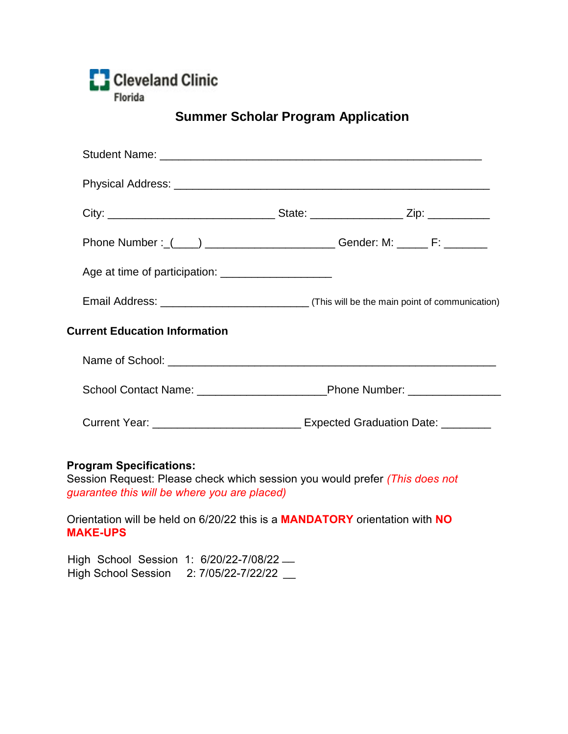

## **Summer Scholar Program Application**

| Phone Number : (____) _________________________Gender: M: ______ F: ____________     |  |  |
|--------------------------------------------------------------------------------------|--|--|
|                                                                                      |  |  |
|                                                                                      |  |  |
| <b>Current Education Information</b>                                                 |  |  |
|                                                                                      |  |  |
|                                                                                      |  |  |
| Current Year: __________________________________ Expected Graduation Date: _________ |  |  |

## **Program Specifications:**

Session Request: Please check which session you would prefer *(This does not guarantee this will be where you are placed)*

Orientation will be held on 6/20/22 this is a **MANDATORY** orientation with **NO MAKE-UPS**

High School Session 1: 6/20/22-7/08/22 .... High School Session 2: 7/05/22-7/22/22 \_\_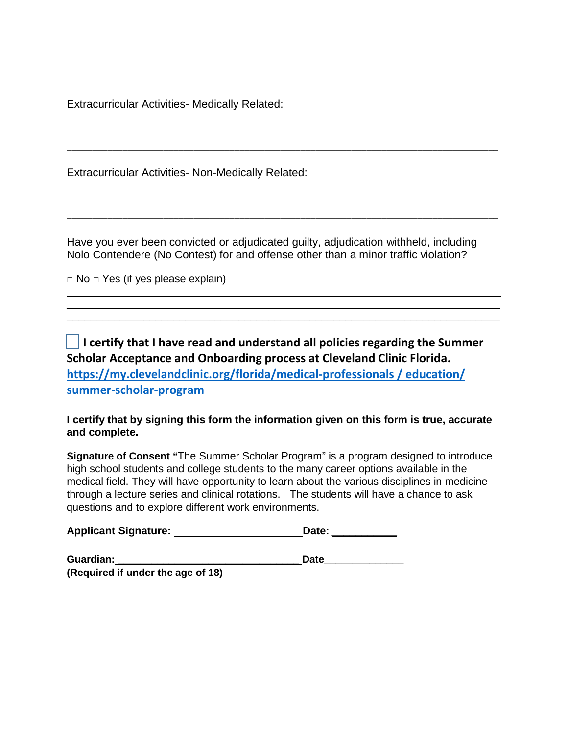Extracurricular Activities- Medically Related:

Extracurricular Activities- Non-Medically Related:

Have you ever been convicted or adjudicated guilty, adjudication withheld, including Nolo Contendere (No Contest) for and offense other than a minor traffic violation?

 $\overline{\phantom{a}}$  , and the contract of the contract of the contract of the contract of the contract of the contract of the contract of the contract of the contract of the contract of the contract of the contract of the contrac

\_\_\_\_\_\_\_\_\_\_\_\_\_\_\_\_\_\_\_\_\_\_\_\_\_\_\_\_\_\_\_\_\_\_\_\_\_\_\_\_\_\_\_\_\_\_\_\_\_\_\_\_\_\_\_\_\_\_\_\_\_\_\_\_\_\_\_\_\_\_\_\_\_\_\_\_\_\_\_\_\_\_\_\_\_ \_\_\_\_\_\_\_\_\_\_\_\_\_\_\_\_\_\_\_\_\_\_\_\_\_\_\_\_\_\_\_\_\_\_\_\_\_\_\_\_\_\_\_\_\_\_\_\_\_\_\_\_\_\_\_\_\_\_\_\_\_\_\_\_\_\_\_\_\_\_\_\_\_\_\_\_\_\_\_\_\_\_\_\_\_

\_\_\_\_\_\_\_\_\_\_\_\_\_\_\_\_\_\_\_\_\_\_\_\_\_\_\_\_\_\_\_\_\_\_\_\_\_\_\_\_\_\_\_\_\_\_\_\_\_\_\_\_\_\_\_\_\_\_\_\_\_\_\_\_\_\_\_\_\_\_\_\_\_\_\_\_\_\_\_\_\_\_\_\_\_ \_\_\_\_\_\_\_\_\_\_\_\_\_\_\_\_\_\_\_\_\_\_\_\_\_\_\_\_\_\_\_\_\_\_\_\_\_\_\_\_\_\_\_\_\_\_\_\_\_\_\_\_\_\_\_\_\_\_\_\_\_\_\_\_\_\_\_\_\_\_\_\_\_\_\_\_\_\_\_\_\_\_\_\_\_

 $\Box$  No  $\Box$  Yes (if yes please explain)

**I certify that I have read and understand all policies regarding the Summer Scholar Acceptance and Onboarding process at Cleveland Clinic Florida. [https://my.clevelandclinic.org/florida/medical-professionals / education/](https://my.clevelandclinic.org/florida/medical-professionals%20/%20education/%20summer-scholar-program)  [summer-scholar-program](https://my.clevelandclinic.org/florida/medical-professionals%20/%20education/%20summer-scholar-program)**

 $\overline{\phantom{a}}$  ,  $\overline{\phantom{a}}$  ,  $\overline{\phantom{a}}$  ,  $\overline{\phantom{a}}$  ,  $\overline{\phantom{a}}$  ,  $\overline{\phantom{a}}$  ,  $\overline{\phantom{a}}$  ,  $\overline{\phantom{a}}$  ,  $\overline{\phantom{a}}$  ,  $\overline{\phantom{a}}$  ,  $\overline{\phantom{a}}$  ,  $\overline{\phantom{a}}$  ,  $\overline{\phantom{a}}$  ,  $\overline{\phantom{a}}$  ,  $\overline{\phantom{a}}$  ,  $\overline{\phantom{a}}$  $\overline{\phantom{a}}$  ,  $\overline{\phantom{a}}$  ,  $\overline{\phantom{a}}$  ,  $\overline{\phantom{a}}$  ,  $\overline{\phantom{a}}$  ,  $\overline{\phantom{a}}$  ,  $\overline{\phantom{a}}$  ,  $\overline{\phantom{a}}$  ,  $\overline{\phantom{a}}$  ,  $\overline{\phantom{a}}$  ,  $\overline{\phantom{a}}$  ,  $\overline{\phantom{a}}$  ,  $\overline{\phantom{a}}$  ,  $\overline{\phantom{a}}$  ,  $\overline{\phantom{a}}$  ,  $\overline{\phantom{a}}$ 

**I certify that by signing this form the information given on this form is true, accurate and complete.**

**Signature of Consent "**The Summer Scholar Program" is a program designed to introduce high school students and college students to the many career options available in the medical field. They will have opportunity to learn about the various disciplines in medicine through a lecture series and clinical rotations. The students will have a chance to ask questions and to explore different work environments.

| <b>Applicant Signature:</b> | Date: |  |
|-----------------------------|-------|--|
|                             |       |  |

| Guardian:                         | <b>Date</b> |
|-----------------------------------|-------------|
| (Required if under the age of 18) |             |